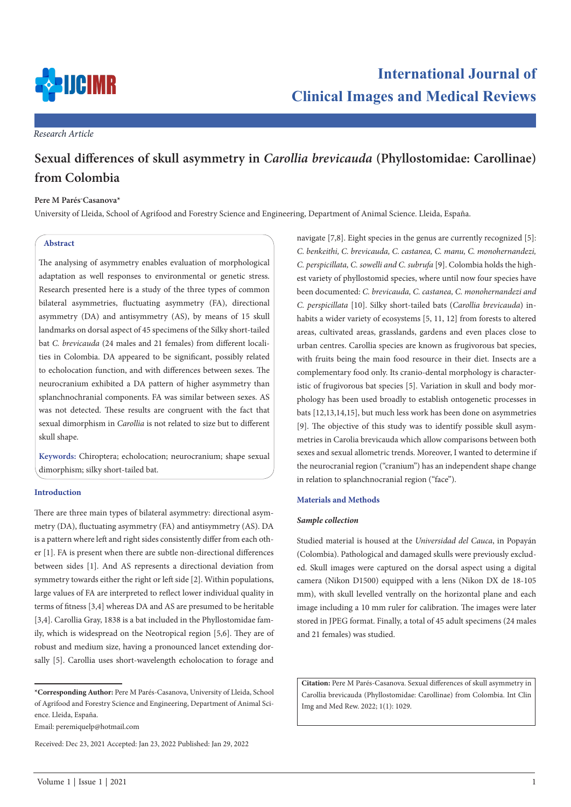

*Research Article*

# **Sexual differences of skull asymmetry in** *Carollia brevicauda* **(Phyllostomidae: Carollinae) from Colombia**

# **Pere M Parés-Casanova\***

University of Lleida, School of Agrifood and Forestry Science and Engineering, Department of Animal Science. Lleida, España.

# **Abstract**

The analysing of asymmetry enables evaluation of morphological adaptation as well responses to environmental or genetic stress. Research presented here is a study of the three types of common bilateral asymmetries, fluctuating asymmetry (FA), directional asymmetry (DA) and antisymmetry (AS), by means of 15 skull landmarks on dorsal aspect of 45 specimens of the Silky short-tailed bat *C. brevicauda* (24 males and 21 females) from different localities in Colombia. DA appeared to be significant, possibly related to echolocation function, and with differences between sexes. The neurocranium exhibited a DA pattern of higher asymmetry than splanchnochranial components. FA was similar between sexes. AS was not detected. These results are congruent with the fact that sexual dimorphism in *Carollia* is not related to size but to different skull shape.

**Keywords:** Chiroptera; echolocation; neurocranium; shape sexual dimorphism; silky short-tailed bat.

# **Introduction**

There are three main types of bilateral asymmetry: directional asymmetry (DA), fluctuating asymmetry (FA) and antisymmetry (AS). DA is a pattern where left and right sides consistently differ from each other [1]. FA is present when there are subtle non-directional differences between sides [1]. And AS represents a directional deviation from symmetry towards either the right or left side [2]. Within populations, large values of FA are interpreted to reflect lower individual quality in terms of fitness [3,4] whereas DA and AS are presumed to be heritable [3,4]. Carollia Gray, 1838 is a bat included in the Phyllostomidae family, which is widespread on the Neotropical region [5,6]. They are of robust and medium size, having a pronounced lancet extending dorsally [5]. Carollia uses short-wavelength echolocation to forage and

Email: peremiquelp@hotmail.com

Received: Dec 23, 2021 Accepted: Jan 23, 2022 Published: Jan 29, 2022

navigate [7,8]. Eight species in the genus are currently recognized [5]: *C. benkeithi, C. brevicauda, C. castanea, C. manu, C. monohernandezi, C. perspicillata, C. sowelli and C. subrufa* [9]. Colombia holds the highest variety of phyllostomid species, where until now four species have been documented: *C. brevicauda, C. castanea, C. monohernandezi and C. perspicillata* [10]. Silky short-tailed bats (*Carollia brevicauda*) inhabits a wider variety of ecosystems [5, 11, 12] from forests to altered areas, cultivated areas, grasslands, gardens and even places close to urban centres. Carollia species are known as frugivorous bat species, with fruits being the main food resource in their diet. Insects are a complementary food only. Its cranio-dental morphology is characteristic of frugivorous bat species [5]. Variation in skull and body morphology has been used broadly to establish ontogenetic processes in bats [12,13,14,15], but much less work has been done on asymmetries [9]. The objective of this study was to identify possible skull asymmetries in Carolia brevicauda which allow comparisons between both sexes and sexual allometric trends. Moreover, I wanted to determine if the neurocranial region ("cranium") has an independent shape change in relation to splanchnocranial region ("face").

## **Materials and Methods**

## *Sample collection*

Studied material is housed at the *Universidad del Cauca*, in Popayán (Colombia). Pathological and damaged skulls were previously excluded. Skull images were captured on the dorsal aspect using a digital camera (Nikon D1500) equipped with a lens (Nikon DX de 18-105 mm), with skull levelled ventrally on the horizontal plane and each image including a 10 mm ruler for calibration. The images were later stored in JPEG format. Finally, a total of 45 adult specimens (24 males and 21 females) was studied.

**Citation:** Pere M Parés-Casanova. Sexual differences of skull asymmetry in Carollia brevicauda (Phyllostomidae: Carollinae) from Colombia. Int Clin Img and Med Rew. 2022; 1(1): 1029.

**<sup>\*</sup>Corresponding Author:** Pere M Parés-Casanova, University of Lleida, School of Agrifood and Forestry Science and Engineering, Department of Animal Science. Lleida, España.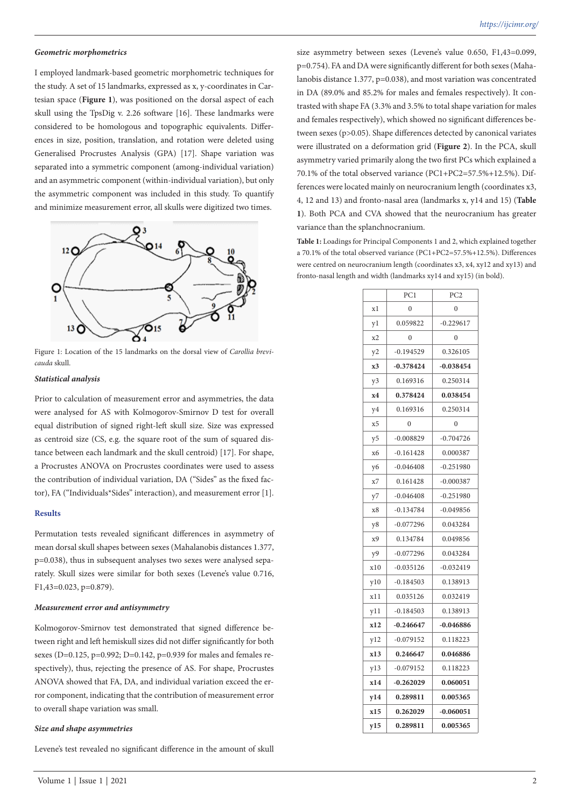#### *Geometric morphometrics*

I employed landmark-based geometric morphometric techniques for the study. A set of 15 landmarks, expressed as x, y-coordinates in Cartesian space (**Figure 1**), was positioned on the dorsal aspect of each skull using the TpsDig v. 2.26 software [16]. These landmarks were considered to be homologous and topographic equivalents. Differences in size, position, translation, and rotation were deleted using Generalised Procrustes Analysis (GPA) [17]. Shape variation was separated into a symmetric component (among-individual variation) and an asymmetric component (within-individual variation), but only the asymmetric component was included in this study. To quantify and minimize measurement error, all skulls were digitized two times.



Figure 1: Location of the 15 landmarks on the dorsal view of *Carollia brevicauda* skull.

#### *Statistical analysis*

Prior to calculation of measurement error and asymmetries, the data were analysed for AS with Kolmogorov-Smirnov D test for overall equal distribution of signed right-left skull size. Size was expressed as centroid size (CS, e.g. the square root of the sum of squared distance between each landmark and the skull centroid) [17]. For shape, a Procrustes ANOVA on Procrustes coordinates were used to assess the contribution of individual variation, DA ("Sides" as the fixed factor), FA ("Individuals\*Sides" interaction), and measurement error [1].

## **Results**

Permutation tests revealed significant differences in asymmetry of mean dorsal skull shapes between sexes (Mahalanobis distances 1.377, p=0.038), thus in subsequent analyses two sexes were analysed separately. Skull sizes were similar for both sexes (Levene's value 0.716, F1,43=0.023, p=0.879).

#### *Measurement error and antisymmetry*

Kolmogorov-Smirnov test demonstrated that signed difference between right and left hemiskull sizes did not differ significantly for both sexes (D=0.125, p=0.992; D=0.142, p=0.939 for males and females respectively), thus, rejecting the presence of AS. For shape, Procrustes ANOVA showed that FA, DA, and individual variation exceed the error component, indicating that the contribution of measurement error to overall shape variation was small.

#### *Size and shape asymmetries*

Levene's test revealed no significant difference in the amount of skull

Volume 1 | Issue 1 | 2021 2

size asymmetry between sexes (Levene's value 0.650, F1,43=0.099, p=0.754). FA and DA were significantly different for both sexes (Mahalanobis distance 1.377, p=0.038), and most variation was concentrated in DA (89.0% and 85.2% for males and females respectively). It contrasted with shape FA (3.3% and 3.5% to total shape variation for males and females respectively), which showed no significant differences between sexes (p>0.05). Shape differences detected by canonical variates were illustrated on a deformation grid (**Figure 2**). In the PCA, skull asymmetry varied primarily along the two first PCs which explained a 70.1% of the total observed variance (PC1+PC2=57.5%+12.5%). Differences were located mainly on neurocranium length (coordinates x3, 4, 12 and 13) and fronto-nasal area (landmarks x, y14 and 15) (**Table 1**). Both PCA and CVA showed that the neurocranium has greater variance than the splanchnocranium.

**Table 1:** Loadings for Principal Components 1 and 2, which explained together a 70.1% of the total observed variance (PC1+PC2=57.5%+12.5%). Differences were centred on neurocranium length (coordinates x3, x4, xy12 and xy13) and fronto-nasal length and width (landmarks xy14 and xy15) (in bold).

|     | PC1         | PC <sub>2</sub> |
|-----|-------------|-----------------|
| xl  | 0           | $\mathbf{0}$    |
| yl  | 0.059822    | $-0.229617$     |
| x2  | 0           | $\mathbf{0}$    |
| y2  | $-0.194529$ | 0.326105        |
| x3  | $-0.378424$ | $-0.038454$     |
| y3  | 0.169316    | 0.250314        |
| x4  | 0.378424    | 0.038454        |
| y4  | 0.169316    | 0.250314        |
| x5  | $\theta$    | $\mathbf{0}$    |
| y5  | $-0.008829$ | $-0.704726$     |
| х6  | $-0.161428$ | 0.000387        |
| y6  | $-0.046408$ | $-0.251980$     |
| х7  | 0.161428    | $-0.000387$     |
| у7  | $-0.046408$ | $-0.251980$     |
| х8  | $-0.134784$ | $-0.049856$     |
| y8  | $-0.077296$ | 0.043284        |
| х9  | 0.134784    | 0.049856        |
| y9  | $-0.077296$ | 0.043284        |
| x10 | $-0.035126$ | $-0.032419$     |
| y10 | $-0.184503$ | 0.138913        |
| x11 | 0.035126    | 0.032419        |
| y11 | $-0.184503$ | 0.138913        |
| x12 | $-0.246647$ | $-0.046886$     |
| y12 | $-0.079152$ | 0.118223        |
| x13 | 0.246647    | 0.046886        |
| y13 | $-0.079152$ | 0.118223        |
| x14 | $-0.262029$ | 0.060051        |
| y14 | 0.289811    | 0.005365        |
| x15 | 0.262029    | $-0.060051$     |
| y15 | 0.289811    | 0.005365        |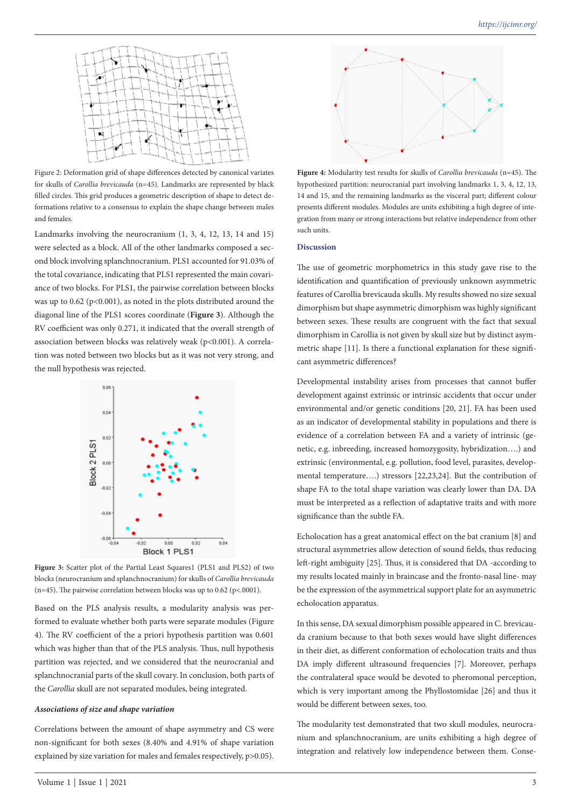

Figure 2: Deformation grid of shape differences detected by canonical variates for skulls of *Carollia brevicauda* (n=45). Landmarks are represented by black filled circles. This grid produces a geometric description of shape to detect deformations relative to a consensus to explain the shape change between males and females.

Landmarks involving the neurocranium (1, 3, 4, 12, 13, 14 and 15) were selected as a block. All of the other landmarks composed a second block involving splanchnocranium. PLS1 accounted for 91.03% of the total covariance, indicating that PLS1 represented the main covariance of two blocks. For PLS1, the pairwise correlation between blocks was up to  $0.62$  (p<0.001), as noted in the plots distributed around the diagonal line of the PLS1 scores coordinate (**Figure 3**). Although the RV coefficient was only 0.271, it indicated that the overall strength of association between blocks was relatively weak (p<0.001). A correlation was noted between two blocks but as it was not very strong, and the null hypothesis was rejected.



**Figure 3:** Scatter plot of the Partial Least Squares1 (PLS1 and PLS2) of two blocks (neurocranium and splanchnocranium) for skulls of *Carollia brevicauda* (n=45). The pairwise correlation between blocks was up to 0.62 (p<.0001).

Based on the PLS analysis results, a modularity analysis was performed to evaluate whether both parts were separate modules (Figure 4). The RV coefficient of the a priori hypothesis partition was 0.601 which was higher than that of the PLS analysis. Thus, null hypothesis partition was rejected, and we considered that the neurocranial and splanchnocranial parts of the skull covary. In conclusion, both parts of the *Carollia* skull are not separated modules, being integrated.

### *Associations of size and shape variation*

Correlations between the amount of shape asymmetry and CS were non-significant for both sexes (8.40% and 4.91% of shape variation explained by size variation for males and females respectively, p>0.05).



**Figure 4:** Modularity test results for skulls of *Carollia brevicauda* (n=45). The hypothesized partition: neurocranial part involving landmarks 1, 3, 4, 12, 13, 14 and 15, and the remaining landmarks as the visceral part; different colour presents different modules. Modules are units exhibiting a high degree of integration from many or strong interactions but relative independence from other such units.

# **Discussion**

The use of geometric morphometrics in this study gave rise to the identification and quantification of previously unknown asymmetric features of Carollia brevicauda skulls. My results showed no size sexual dimorphism but shape asymmetric dimorphism was highly significant between sexes. These results are congruent with the fact that sexual dimorphism in Carollia is not given by skull size but by distinct asymmetric shape [11]. Is there a functional explanation for these significant asymmetric differences?

Developmental instability arises from processes that cannot buffer development against extrinsic or intrinsic accidents that occur under environmental and/or genetic conditions [20, 21]. FA has been used as an indicator of developmental stability in populations and there is evidence of a correlation between FA and a variety of intrinsic (genetic, e.g. inbreeding, increased homozygosity, hybridization….) and extrinsic (environmental, e.g. pollution, food level, parasites, developmental temperature….) stressors [22,23,24]. But the contribution of shape FA to the total shape variation was clearly lower than DA. DA must be interpreted as a reflection of adaptative traits and with more significance than the subtle FA.

Echolocation has a great anatomical effect on the bat cranium [8] and structural asymmetries allow detection of sound fields, thus reducing left-right ambiguity [25]. Thus, it is considered that DA -according to my results located mainly in braincase and the fronto-nasal line- may be the expression of the asymmetrical support plate for an asymmetric echolocation apparatus.

In this sense, DA sexual dimorphism possible appeared in C. brevicauda cranium because to that both sexes would have slight differences in their diet, as different conformation of echolocation traits and thus DA imply different ultrasound frequencies [7]. Moreover, perhaps the contralateral space would be devoted to pheromonal perception, which is very important among the Phyllostomidae [26] and thus it would be different between sexes, too.

The modularity test demonstrated that two skull modules, neurocranium and splanchnocranium, are units exhibiting a high degree of integration and relatively low independence between them. Conse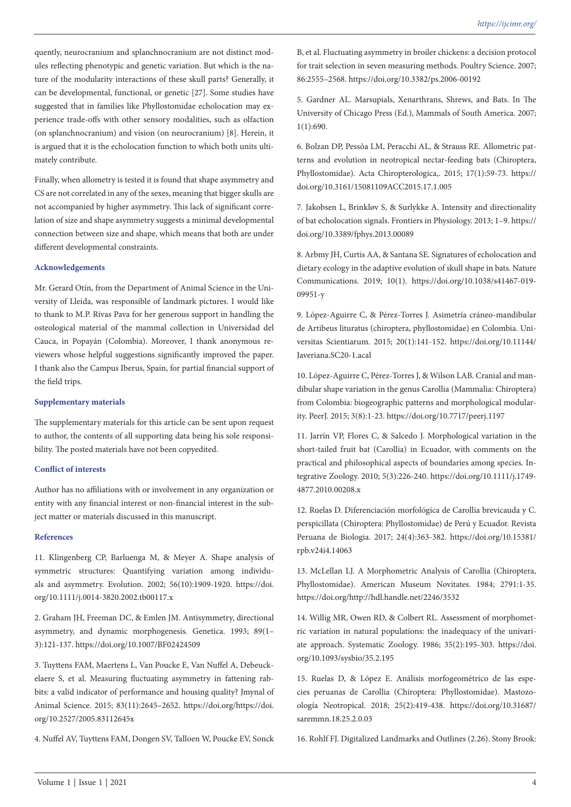quently, neurocranium and splanchnocranium are not distinct modules reflecting phenotypic and genetic variation. But which is the nature of the modularity interactions of these skull parts? Generally, it can be developmental, functional, or genetic [27]. Some studies have suggested that in families like Phyllostomidae echolocation may experience trade-offs with other sensory modalities, such as olfaction (on splanchnocranium) and vision (on neurocranium) [8]. Herein, it is argued that it is the echolocation function to which both units ultimately contribute.

Finally, when allometry is tested it is found that shape asymmetry and CS are not correlated in any of the sexes, meaning that bigger skulls are not accompanied by higher asymmetry. This lack of significant correlation of size and shape asymmetry suggests a minimal developmental connection between size and shape, which means that both are under different developmental constraints.

# **Acknowledgements**

Mr. Gerard Otín, from the Department of Animal Science in the University of Lleida, was responsible of landmark pictures. I would like to thank to M.P. Rivas Pava for her generous support in handling the osteological material of the mammal collection in Universidad del Cauca, in Popayán (Colombia). Moreover, I thank anonymous reviewers whose helpful suggestions significantly improved the paper. I thank also the Campus Iberus, Spain, for partial financial support of the field trips.

#### **Supplementary materials**

The supplementary materials for this article can be sent upon request to author, the contents of all supporting data being his sole responsibility. The posted materials have not been copyedited.

## **Conflict of interests**

Author has no affiliations with or involvement in any organization or entity with any financial interest or non-financial interest in the subject matter or materials discussed in this manuscript.

#### **References**

11. Klingenberg CP, Barluenga M, & Meyer A. Shape analysis of symmetric structures: Quantifying variation among individuals and asymmetry. Evolution. 2002; 56(10):1909-1920. https://doi. org/10.1111/j.0014-3820.2002.tb00117.x

2. Graham JH, Freeman DC, & Emlen JM. Antisymmetry, directional asymmetry, and dynamic morphogenesis. Genetica. 1993; 89(1– 3):121-137. https://doi.org/10.1007/BF02424509

3. Tuyttens FAM, Maertens L, Van Poucke E, Van Nuffel A, Debeuckelaere S, et al. Measuring fluctuating asymmetry in fattening rabbits: a valid indicator of performance and housing quality? Jmynal of Animal Science. 2015; 83(11):2645–2652. https://doi.org/https://doi. org/10.2527/2005.83112645x

4. Nuffel AV, Tuyttens FAM, Dongen SV, Talloen W, Poucke EV, Sonck

B, et al. Fluctuating asymmetry in broiler chickens: a decision protocol for trait selection in seven measuring methods. Poultry Science. 2007; 86:2555–2568. https://doi.org/10.3382/ps.2006-00192

5. Gardner AL. Marsupials, Xenarthrans, Shrews, and Bats. In The University of Chicago Press (Ed.), Mammals of South America. 2007; 1(1):690.

6. Bolzan DP, Pessôa LM, Peracchi AL, & Strauss RE. Allometric patterns and evolution in neotropical nectar-feeding bats (Chiroptera, Phyllostomidae). Acta Chiropterologica,. 2015; 17(1):59-73. https:// doi.org/10.3161/15081109ACC2015.17.1.005

7. Jakobsen L, Brinkløv S, & Surlykke A. Intensity and directionality of bat echolocation signals. Frontiers in Physiology. 2013; 1–9. https:// doi.org/10.3389/fphys.2013.00089

8. Arbmy JH, Curtis AA, & Santana SE. Signatures of echolocation and dietary ecology in the adaptive evolution of skull shape in bats. Nature Communications. 2019; 10(1). https://doi.org/10.1038/s41467-019- 09951-y

9. López-Aguirre C, & Pérez-Torres J. Asimetría cráneo-mandibular de Artibeus lituratus (chiroptera, phyllostomidae) en Colombia. Universitas Scientiarum. 2015; 20(1):141-152. https://doi.org/10.11144/ Javeriana.SC20-1.acal

10. López-Aguirre C, Pérez-Torres J, & Wilson LAB. Cranial and mandibular shape variation in the genus Carollia (Mammalia: Chiroptera) from Colombia: biogeographic patterns and morphological modularity. PeerJ. 2015; 3(8):1-23. https://doi.org/10.7717/peerj.1197

11. Jarrín VP, Flores C, & Salcedo J. Morphological variation in the short-tailed fruit bat (Carollia) in Ecuador, with comments on the practical and philosophical aspects of boundaries among species. Integrative Zoology. 2010; 5(3):226-240. https://doi.org/10.1111/j.1749- 4877.2010.00208.x

12. Ruelas D. Diferenciación morfológica de Carollia brevicauda y C. perspicillata (Chiroptera: Phyllostomidae) de Perú y Ecuador. Revista Peruana de Biologia. 2017; 24(4):363-382. https://doi.org/10.15381/ rpb.v24i4.14063

13. McLellan LJ. A Morphometric Analysis of Carollia (Chiroptera, Phyllostomidae). American Museum Novitates. 1984; 2791:1-35. https://doi.org/http://hdl.handle.net/2246/3532

14. Willig MR, Owen RD, & Colbert RL. Assessment of morphometric variation in natural populations: the inadequacy of the univariate approach. Systematic Zoology. 1986; 35(2):195-303. https://doi. org/10.1093/sysbio/35.2.195

15. Ruelas D, & López E. Análisis morfogeométrico de las especies peruanas de Carollia (Chiroptera: Phyllostomidae). Mastozoología Neotropical. 2018; 25(2):419-438. https://doi.org/10.31687/ saremmn.18.25.2.0.03

16. Rohlf FJ. Digitalized Landmarks and Outlines (2.26). Stony Brook: